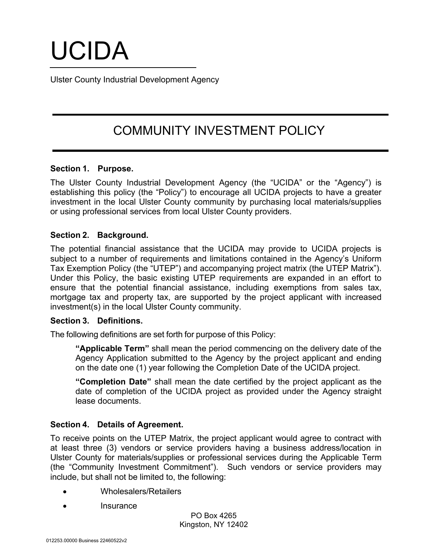# UCIDA

Ulster County Industrial Development Agency

# COMMUNITY INVESTMENT POLICY

# **Section 1. Purpose.**

The Ulster County Industrial Development Agency (the "UCIDA" or the "Agency") is establishing this policy (the "Policy") to encourage all UCIDA projects to have a greater investment in the local Ulster County community by purchasing local materials/supplies or using professional services from local Ulster County providers.

# **Section 2. Background.**

The potential financial assistance that the UCIDA may provide to UCIDA projects is subject to a number of requirements and limitations contained in the Agency's Uniform Tax Exemption Policy (the "UTEP") and accompanying project matrix (the UTEP Matrix"). Under this Policy, the basic existing UTEP requirements are expanded in an effort to ensure that the potential financial assistance, including exemptions from sales tax, mortgage tax and property tax, are supported by the project applicant with increased investment(s) in the local Ulster County community.

#### **Section 3. Definitions.**

The following definitions are set forth for purpose of this Policy:

**"Applicable Term"** shall mean the period commencing on the delivery date of the Agency Application submitted to the Agency by the project applicant and ending on the date one (1) year following the Completion Date of the UCIDA project.

**"Completion Date"** shall mean the date certified by the project applicant as the date of completion of the UCIDA project as provided under the Agency straight lease documents.

# **Section 4. Details of Agreement.**

To receive points on the UTEP Matrix, the project applicant would agree to contract with at least three (3) vendors or service providers having a business address/location in Ulster County for materials/supplies or professional services during the Applicable Term (the "Community Investment Commitment"). Such vendors or service providers may include, but shall not be limited to, the following:

- Wholesalers/Retailers
- Insurance